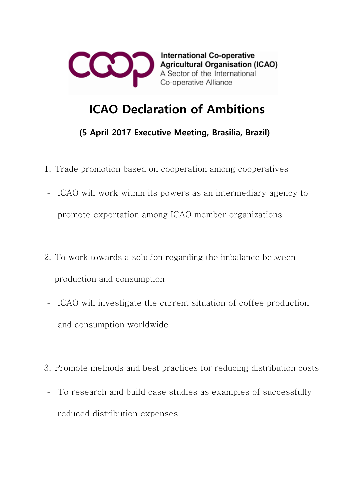

**International Co-operative Agricultural Organisation (ICAO)** A Sector of the International Co-operative Alliance

## ICAO Declaration of Ambitions

(5 April 2017 Executive Meeting, Brasilia, Brazil)

- 1. Trade promotion based on cooperation among cooperatives
- ICAO will work within its powers as an intermediary agency to promote exportation among ICAO member organizations
- 2. To work towards a solution regarding the imbalance between production and consumption
- ICAO will investigate the current situation of coffee production and consumption worldwide
- 3. Promote methods and best practices for reducing distribution costs
- To research and build case studies as examples of successfully reduced distribution expenses